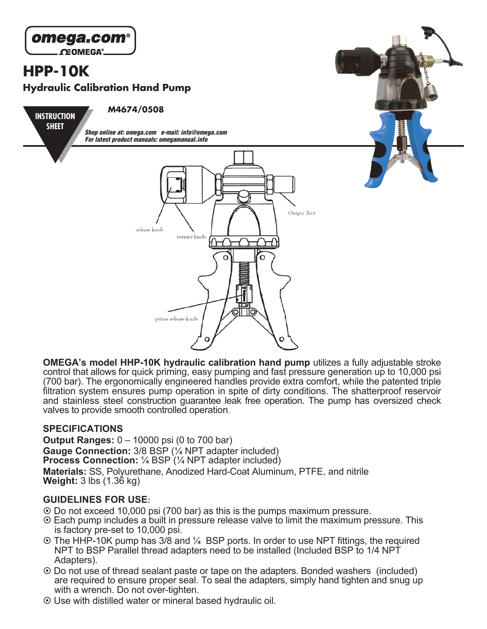

**OMEGA's model HHP-10K hydraulic calibration hand pump** utilizes a fully adjustable stroke control that allows for quick priming, easy pumping and fast pressure generation up to 10,000 psi (700 bar). The ergonomically engineered handles provide extra comfort, while the patented triple filtration system ensures pump operation in spite of dirty conditions. The shatterproof reservoir and stainless steel construction guarantee leak free operation. The pump has oversized check valves to provide smooth controlled operation.

## **SPECIFICATIONS**

**Output Ranges:** 0 – 10000 psi (0 to 700 bar) **Gauge Connection:** 3/8 BSP (¼ NPT adapter included) **Process Connection:** ¼ BSP (¼ NPT adapter included) **Materials:** SS, Polyurethane, Anodized Hard-Coat Aluminum, PTFE, and nitrile **Weight:** 3 lbs (1.36 kg)

## **GUIDELINES FOR USE:**

- § Do not exceed 10,000 psi (700 bar) as this is the pumps maximum pressure.
- § Each pump includes a built in pressure release valve to limit the maximum pressure. This is factory pre-set to 10,000 psi.
- § The HHP-10K pump has 3/8 and ¼ BSP ports. In order to use NPT fittings, the required NPT to BSP Parallel thread adapters need to be installed (Included BSP to 1/4 NPT Adapters).
- § Do not use of thread sealant paste or tape on the adapters. Bonded washers (included) are required to ensure proper seal. To seal the adapters, simply hand tighten and snug up with a wrench. Do not over-tighten.
- § Use with distilled water or mineral based hydraulic oil.